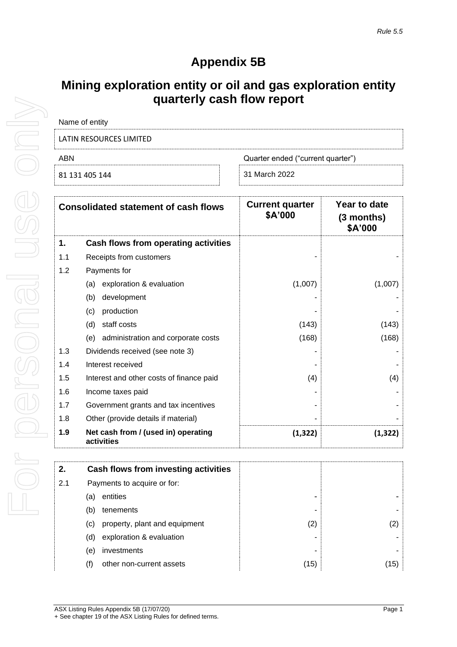# **Appendix 5B**

## **Mining exploration entity or oil and gas exploration entity quarterly cash flow report**

| Name of entity          |                                   |
|-------------------------|-----------------------------------|
| LATIN RESOURCES LIMITED |                                   |
| ABN                     | Quarter ended ("current quarter") |
| 81 131 405 144          | 31 March 2022                     |

|     | <b>Consolidated statement of cash flows</b>       | <b>Current quarter</b><br>\$A'000 | Year to date<br>$(3$ months)<br>\$A'000 |
|-----|---------------------------------------------------|-----------------------------------|-----------------------------------------|
| 1.  | Cash flows from operating activities              |                                   |                                         |
| 1.1 | Receipts from customers                           |                                   |                                         |
| 1.2 | Payments for                                      |                                   |                                         |
|     | exploration & evaluation<br>(a)                   | (1,007)                           | (1,007)                                 |
|     | development<br>(b)                                |                                   |                                         |
|     | production<br>(c)                                 |                                   |                                         |
|     | staff costs<br>(d)                                | (143)                             | (143)                                   |
|     | administration and corporate costs<br>(e)         | (168)                             | (168)                                   |
| 1.3 | Dividends received (see note 3)                   |                                   |                                         |
| 1.4 | Interest received                                 |                                   |                                         |
| 1.5 | Interest and other costs of finance paid          | (4)                               | (4)                                     |
| 1.6 | Income taxes paid                                 |                                   |                                         |
| 1.7 | Government grants and tax incentives              |                                   |                                         |
| 1.8 | Other (provide details if material)               |                                   |                                         |
| 1.9 | Net cash from / (used in) operating<br>activities | (1, 322)                          | (1, 322)                                |

| 2.  | Cash flows from investing activities |      |      |
|-----|--------------------------------------|------|------|
| 2.1 | Payments to acquire or for:          |      |      |
|     | entities<br>(a                       |      |      |
|     | tenements<br>(b)                     |      |      |
|     | property, plant and equipment<br>(C) | (2)  | (2)  |
|     | exploration & evaluation<br>(d)      |      |      |
|     | investments<br>e)                    |      |      |
|     | other non-current assets<br>(f)      | (15) | (15) |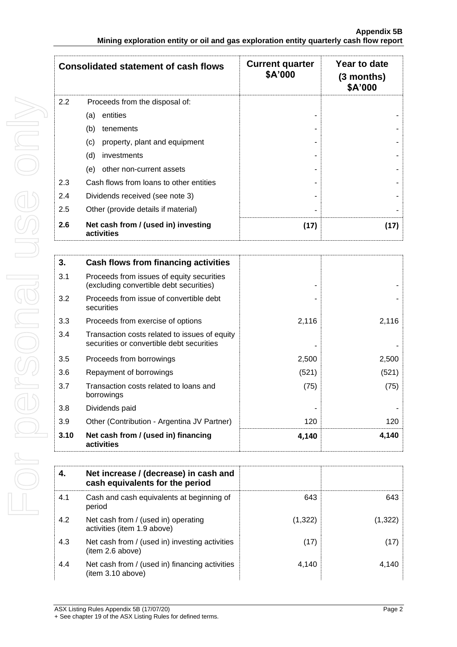|     | <b>Consolidated statement of cash flows</b>       | <b>Current quarter</b><br>\$A'000 | Year to date<br>(3 months)<br>\$A'000 |
|-----|---------------------------------------------------|-----------------------------------|---------------------------------------|
| 2.2 | Proceeds from the disposal of:                    |                                   |                                       |
|     | entities<br>(a)                                   |                                   |                                       |
|     | (b)<br>tenements                                  |                                   |                                       |
|     | property, plant and equipment<br>(c)              |                                   |                                       |
|     | (d)<br>investments                                |                                   |                                       |
|     | other non-current assets<br>(e)                   |                                   |                                       |
| 2.3 | Cash flows from loans to other entities           |                                   |                                       |
| 2.4 | Dividends received (see note 3)                   |                                   |                                       |
| 2.5 | Other (provide details if material)               |                                   |                                       |
| 2.6 | Net cash from / (used in) investing<br>activities | (17)                              | (17)                                  |

| 3.   | Cash flows from financing activities                                                       |       |       |
|------|--------------------------------------------------------------------------------------------|-------|-------|
| 3.1  | Proceeds from issues of equity securities<br>(excluding convertible debt securities)       |       |       |
| 3.2  | Proceeds from issue of convertible debt<br>securities                                      |       |       |
| 3.3  | Proceeds from exercise of options                                                          | 2,116 | 2,116 |
| 3.4  | Transaction costs related to issues of equity<br>securities or convertible debt securities |       |       |
| 3.5  | Proceeds from borrowings                                                                   | 2,500 | 2,500 |
| 3.6  | Repayment of borrowings                                                                    | (521) | (521) |
| 3.7  | Transaction costs related to loans and<br>borrowings                                       | (75)  | (75)  |
| 3.8  | Dividends paid                                                                             |       |       |
| 3.9  | Other (Contribution - Argentina JV Partner)                                                | 120   | 120   |
| 3.10 | Net cash from / (used in) financing<br>activities                                          | 4,140 | 4.140 |

| 4.  | Net increase / (decrease) in cash and<br>cash equivalents for the period |         |         |
|-----|--------------------------------------------------------------------------|---------|---------|
| 4.1 | Cash and cash equivalents at beginning of<br>period                      | 643     | 643     |
| 4.2 | Net cash from / (used in) operating<br>activities (item 1.9 above)       | (1,322) | (1,322) |
| 4.3 | Net cash from / (used in) investing activities<br>(item 2.6 above)       | (17)    | (17)    |
| 4.4 | Net cash from / (used in) financing activities<br>(item 3.10 above)      | 4,140   | 4.140   |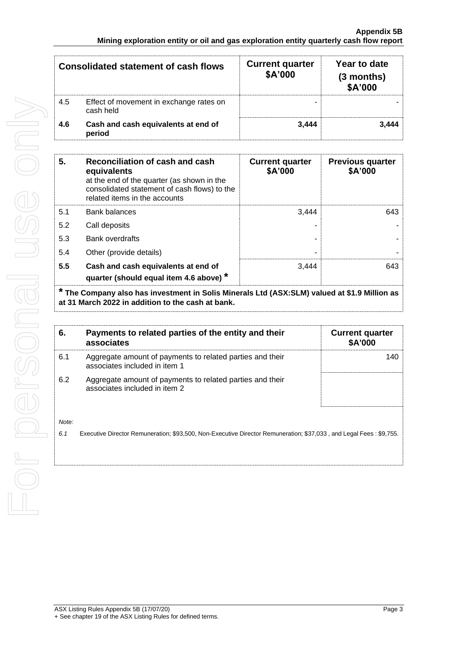|     | <b>Consolidated statement of cash flows</b>          | <b>Current quarter</b><br>\$A'000 | Year to date<br>(3 months)<br>\$A'000 |
|-----|------------------------------------------------------|-----------------------------------|---------------------------------------|
| 4.5 | Effect of movement in exchange rates on<br>cash held |                                   |                                       |
| 4.6 | Cash and cash equivalents at end of<br>period        | 3.444                             | 3.444                                 |

| 5.  | Reconciliation of cash and cash<br>equivalents<br>at the end of the quarter (as shown in the<br>consolidated statement of cash flows) to the<br>related items in the accounts | <b>Current quarter</b><br>\$A'000 | <b>Previous quarter</b><br>\$A'000 |
|-----|-------------------------------------------------------------------------------------------------------------------------------------------------------------------------------|-----------------------------------|------------------------------------|
| 5.1 | <b>Bank balances</b>                                                                                                                                                          | 3.444                             | 643                                |
| 5.2 | Call deposits                                                                                                                                                                 |                                   |                                    |
| 5.3 | Bank overdrafts                                                                                                                                                               |                                   |                                    |
| 5.4 | Other (provide details)                                                                                                                                                       | -                                 |                                    |
| 5.5 | Cash and cash equivalents at end of<br>quarter (should equal item 4.6 above) *                                                                                                | 3.444                             | 643                                |

**\* The Company also has investment in Solis Minerals Ltd (ASX:SLM) valued at \$1.9 Million as at 31 March 2022 in addition to the cash at bank.**

| 6.           | Payments to related parties of the entity and their<br>associates                                                  | <b>Current quarter</b><br>\$A'000 |
|--------------|--------------------------------------------------------------------------------------------------------------------|-----------------------------------|
| 6.1          | Aggregate amount of payments to related parties and their<br>associates included in item 1                         | 140                               |
| 6.2          | Aggregate amount of payments to related parties and their<br>associates included in item 2                         |                                   |
| Note:<br>6.1 | Executive Director Remuneration; \$93,500, Non-Executive Director Remuneration; \$37,033, and Legal Fees: \$9,755. |                                   |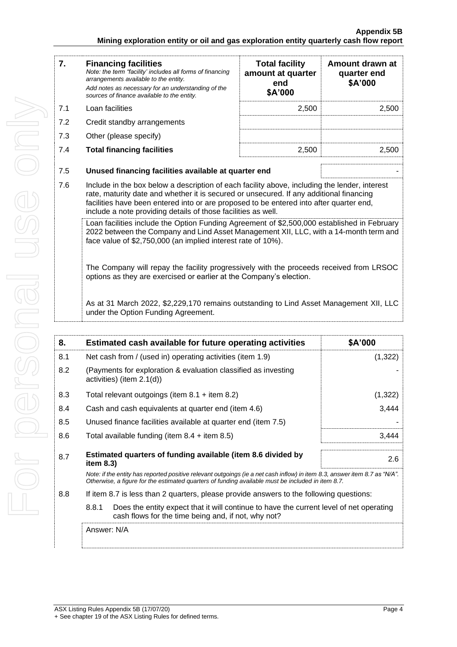### **Appendix 5B Mining exploration entity or oil and gas exploration entity quarterly cash flow report**

| 7.  | <b>Financing facilities</b><br>Note: the term "facility' includes all forms of financing<br>arrangements available to the entity.<br>Add notes as necessary for an understanding of the<br>sources of finance available to the entity.                                                                                                               | <b>Total facility</b><br>amount at quarter<br>end<br>\$A'000 | Amount drawn at<br>quarter end<br>\$A'000 |
|-----|------------------------------------------------------------------------------------------------------------------------------------------------------------------------------------------------------------------------------------------------------------------------------------------------------------------------------------------------------|--------------------------------------------------------------|-------------------------------------------|
| 7.1 | Loan facilities                                                                                                                                                                                                                                                                                                                                      | 2,500                                                        | 2,500                                     |
| 7.2 | Credit standby arrangements                                                                                                                                                                                                                                                                                                                          |                                                              |                                           |
| 7.3 | Other (please specify)                                                                                                                                                                                                                                                                                                                               |                                                              |                                           |
| 7.4 | <b>Total financing facilities</b>                                                                                                                                                                                                                                                                                                                    | 2,500                                                        | 2,500                                     |
| 7.5 | Unused financing facilities available at quarter end                                                                                                                                                                                                                                                                                                 |                                                              |                                           |
| 7.6 | Include in the box below a description of each facility above, including the lender, interest<br>rate, maturity date and whether it is secured or unsecured. If any additional financing<br>facilities have been entered into or are proposed to be entered into after quarter end,<br>include a note providing details of those facilities as well. |                                                              |                                           |
|     | Loan facilities include the Option Funding Agreement of \$2,500,000 established in February<br>2022 between the Company and Lind Asset Management XII, LLC, with a 14-month term and<br>face value of \$2,750,000 (an implied interest rate of 10%).                                                                                                 |                                                              |                                           |
|     | The Company will repay the facility progressively with the proceeds received from LRSOC<br>options as they are exercised or earlier at the Company's election.                                                                                                                                                                                       |                                                              |                                           |

As at 31 March 2022, \$2,229,170 remains outstanding to Lind Asset Management XII, LLC under the Option Funding Agreement.

| 8.  | Estimated cash available for future operating activities                                                                                                                                                                        | \$A'000  |
|-----|---------------------------------------------------------------------------------------------------------------------------------------------------------------------------------------------------------------------------------|----------|
| 8.1 | Net cash from / (used in) operating activities (item 1.9)                                                                                                                                                                       | (1,322)  |
| 8.2 | (Payments for exploration & evaluation classified as investing<br>activities) (item $2.1(d)$ )                                                                                                                                  |          |
| 8.3 | Total relevant outgoings (item $8.1 +$ item $8.2$ )                                                                                                                                                                             | (1, 322) |
| 8.4 | Cash and cash equivalents at quarter end (item 4.6)                                                                                                                                                                             | 3,444    |
| 8.5 | Unused finance facilities available at quarter end (item 7.5)                                                                                                                                                                   |          |
| 8.6 | Total available funding (item $8.4 +$ item $8.5$ )                                                                                                                                                                              | 3,444    |
| 8.7 | Estimated quarters of funding available (item 8.6 divided by<br>item $8.3$ )                                                                                                                                                    | 2.6      |
|     | Note: if the entity has reported positive relevant outgoings (ie a net cash inflow) in item 8.3, answer item 8.7 as "N/A".<br>Otherwise, a figure for the estimated quarters of funding available must be included in item 8.7. |          |
| 8.8 | If item 8.7 is less than 2 quarters, please provide answers to the following questions:                                                                                                                                         |          |
|     | 8.8.1<br>Does the entity expect that it will continue to have the current level of net operating<br>cash flows for the time being and, if not, why not?                                                                         |          |
|     |                                                                                                                                                                                                                                 |          |

Answer: N/A